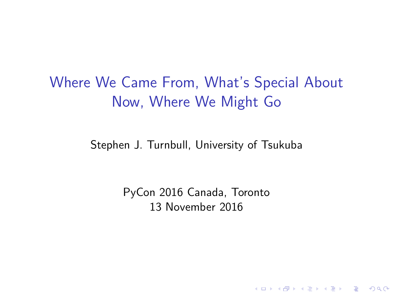# Where We Came From, What's Special About Now, Where We Might Go

Stephen J. Turnbull, University of Tsukuba

PyCon 2016 Canada, Toronto 13 November 2016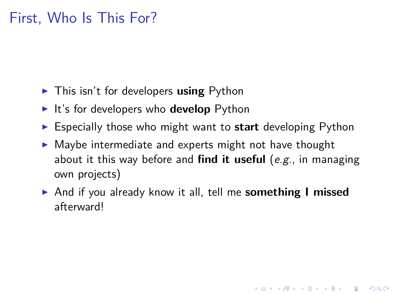# First, Who Is This For?

- ▶ This isn't for developers **using** Python
- ▶ It's for developers who **develop** Python
- ▶ Especially those who might want to **start** developing Python
- ▶ Maybe intermediate and experts might not have thought about it this way before and **find it useful** (*e.g.*, in managing own projects)
- ▶ And if you already know it all, tell me **something I missed** afterward!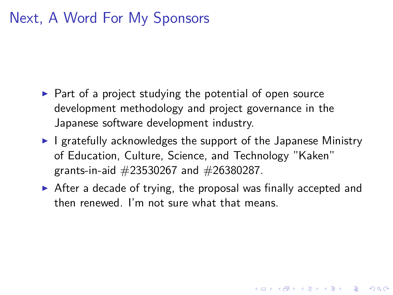# Next, A Word For My Sponsors

- ▶ Part of a project studying the potential of open source development methodology and project governance in the Japanese software development industry.
- ▶ I gratefully acknowledges the support of the Japanese Ministry of Education, Culture, Science, and Technology "Kaken" grants-in-aid #23530267 and #26380287.
- $\triangleright$  After a decade of trying, the proposal was finally accepted and then renewed. I'm not sure what that means.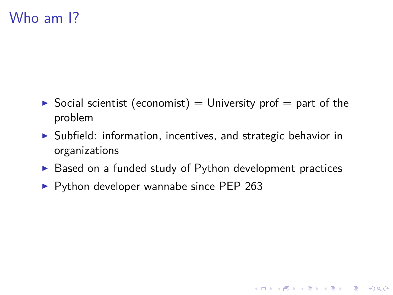### Who am I?

- $\triangleright$  Social scientist (economist) = University prof = part of the problem
- ▶ Subfield: information, incentives, and strategic behavior in organizations
- ▶ Based on a funded study of Python development practices
- ▶ Python developer wannabe since PEP 263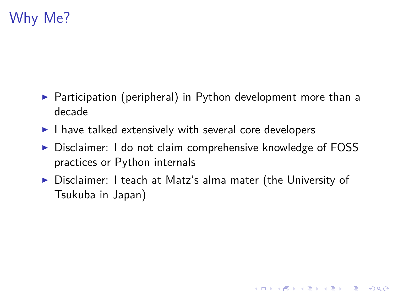# Why Me?

- ▶ Participation (peripheral) in Python development more than a decade
- ▶ I have talked extensively with several core developers
- ▶ Disclaimer: I do not claim comprehensive knowledge of FOSS practices or Python internals
- ▶ Disclaimer: I teach at Matz's alma mater (the University of Tsukuba in Japan)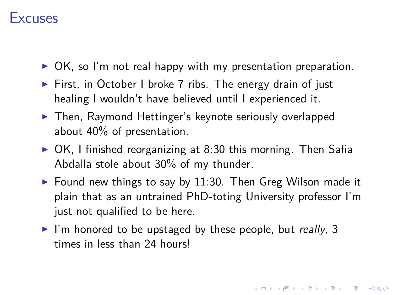#### **Excuses**

- ▶ OK, so I'm not real happy with my presentation preparation.
- ▶ First, in October I broke 7 ribs. The energy drain of just healing I wouldn't have believed until I experienced it.
- ▶ Then, Raymond Hettinger's keynote seriously overlapped about 40% of presentation.
- ▶ OK, I finished reorganizing at 8:30 this morning. Then Safia Abdalla stole about 30% of my thunder.
- ▶ Found new things to say by 11:30. Then Greg Wilson made it plain that as an untrained PhD-toting University professor I'm just not qualified to be here.
- ▶ I'm honored to be upstaged by these people, but *really*, 3 times in less than 24 hours!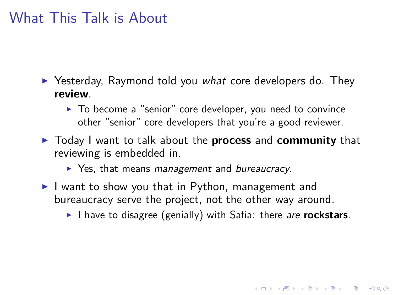### What This Talk is About

- ▶ Yesterday, Raymond told you *what* core developers do. They **review**.
	- ▶ To become a "senior" core developer, you need to convince other "senior" core developers that you're a good reviewer.
- ▶ Today I want to talk about the **process** and **community** that reviewing is embedded in.
	- ▶ Yes, that means *management* and *bureaucracy*.
- ▶ I want to show you that in Python, management and bureaucracy serve the project, not the other way around.
	- ▶ I have to disagree (genially) with Safia: there *are* **rockstars**.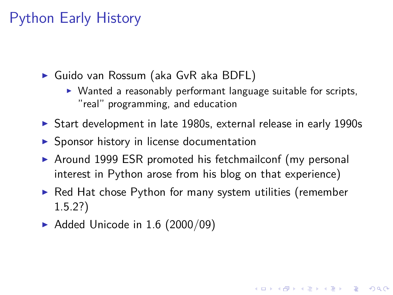#### Python Early History

- ▶ Guido van Rossum (aka GvR aka BDFL)
	- ▶ Wanted a reasonably performant language suitable for scripts, "real" programming, and education
- ▶ Start development in late 1980s, external release in early 1990s
- ▶ Sponsor history in license documentation
- ▶ Around 1999 ESR promoted his fetchmailconf (my personal interest in Python arose from his blog on that experience)
- ▶ Red Hat chose Python for many system utilities (remember 1.5.2?)
- $\blacktriangleright$  Added Unicode in 1.6 (2000/09)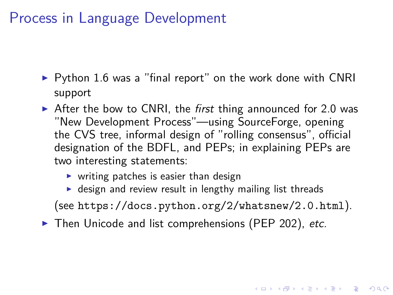#### Process in Language Development

- ▶ Python 1.6 was a "final report" on the work done with CNRI support
- ▶ After the bow to CNRI, the *first* thing announced for 2.0 was "New Development Process"—using SourceForge, opening the CVS tree, informal design of "rolling consensus", official designation of the BDFL, and PEPs; in explaining PEPs are two interesting statements:
	- $\triangleright$  writing patches is easier than design
	- ▶ design and review result in lengthy mailing list threads
	- (see https://docs.python.org/2/whatsnew/2.0.html).
- ▶ Then Unicode and list comprehensions (PEP 202), *etc.*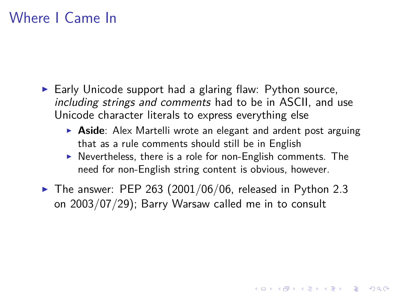#### Where I Came In

- ▶ Early Unicode support had a glaring flaw: Python source, *including strings and comments* had to be in ASCII, and use Unicode character literals to express everything else
	- ▶ **Aside**: Alex Martelli wrote an elegant and ardent post arguing that as a rule comments should still be in English
	- ▶ Nevertheless, there is a role for non-English comments. The need for non-English string content is obvious, however.
- $\blacktriangleright$  The answer: PEP 263 (2001/06/06, released in Python 2.3 on 2003/07/29); Barry Warsaw called me in to consult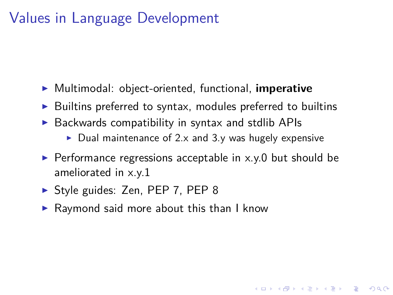# Values in Language Development

- ▶ Multimodal: object-oriented, functional, **imperative**
- ▶ Builtins preferred to syntax, modules preferred to builtins
- ▶ Backwards compatibility in syntax and stdlib APIs
	- $\blacktriangleright$  Dual maintenance of 2.x and 3.y was hugely expensive
- $\blacktriangleright$  Performance regressions acceptable in x.y.0 but should be ameliorated in x.y.1
- ▶ Style guides: Zen, PEP 7, PEP 8
- ▶ Raymond said more about this than I know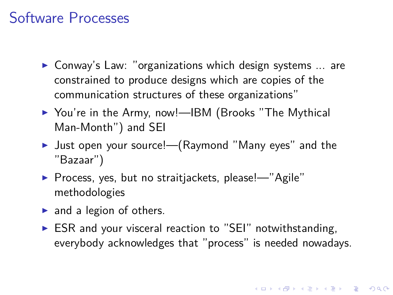### Software Processes

- ▶ Conway's Law: "organizations which design systems ... are constrained to produce designs which are copies of the communication structures of these organizations"
- ▶ You're in the Army, now!--IBM (Brooks "The Mythical Man-Month") and SEI
- ▶ Just open your source!—(Raymond "Many eyes" and the "Bazaar")
- ▶ Process, yes, but no straitjackets, please!—"Agile" methodologies
- ▶ and a legion of others.
- ▶ ESR and your visceral reaction to "SEI" notwithstanding, everybody acknowledges that "process" is needed nowadays.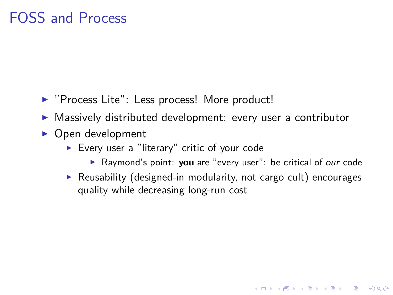### FOSS and Process

- ▶ "Process Lite": Less process! More product!
- ▶ Massively distributed development: every user a contributor
- ▶ Open development
	- ▶ Every user a "literary" critic of your code
		- ▶ Raymond's point: **you** are "every user": be critical of *our* code
	- ▶ Reusability (designed-in modularity, not cargo cult) encourages quality while decreasing long-run cost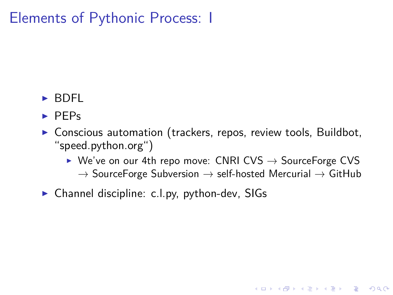# Elements of Pythonic Process: I

- ▶ BDFL
- ▶ PEPs
- ▶ Conscious automation (trackers, repos, review tools, Buildbot, "speed.python.org")
	- ▶ We've on our 4th repo move: CNRI CVS → SourceForge CVS  $\rightarrow$  SourceForge Subversion  $\rightarrow$  self-hosted Mercurial  $\rightarrow$  GitHub
- ▶ Channel discipline: c.l.py, python-dev, SIGs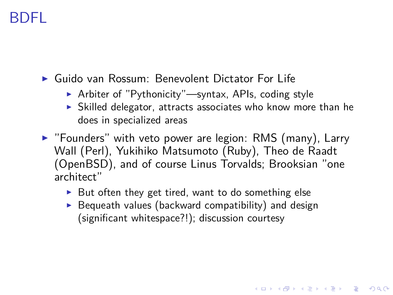### BDFL

- ▶ Guido van Rossum: Benevolent Dictator For Life
	- ▶ Arbiter of "Pythonicity"—syntax, APIs, coding style
	- ▶ Skilled delegator, attracts associates who know more than he does in specialized areas
- ▶ "Founders" with veto power are legion: RMS (many), Larry Wall (Perl), Yukihiko Matsumoto (Ruby), Theo de Raadt (OpenBSD), and of course Linus Torvalds; Brooksian "one architect"
	- ▶ But often they get tired, want to do something else
	- $\blacktriangleright$  Bequeath values (backward compatibility) and design (significant whitespace?!); discussion courtesy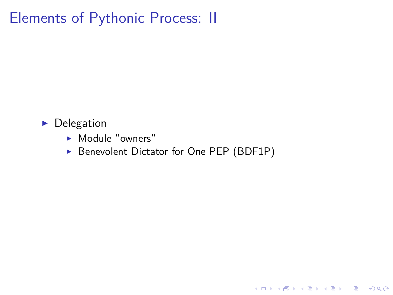Elements of Pythonic Process: II

- ▶ Delegation
	- ▶ Module "owners"
	- ▶ Benevolent Dictator for One PEP (BDF1P)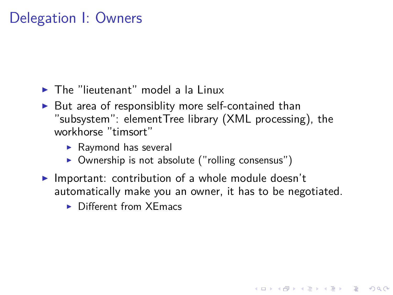# Delegation I: Owners

- ▶ The "lieutenant" model a la Linux
- $\blacktriangleright$  But area of responsiblity more self-contained than "subsystem": elementTree library (XML processing), the workhorse "timsort"
	- ▶ Raymond has several
	- ▶ Ownership is not absolute ("rolling consensus")
- ▶ Important: contribution of a whole module doesn't automatically make you an owner, it has to be negotiated.
	- ▶ Different from XEmacs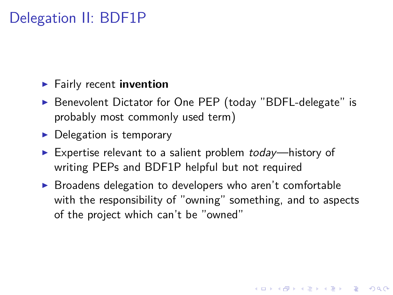# Delegation II: BDF1P

- ▶ Fairly recent **invention**
- ▶ Benevolent Dictator for One PEP (today "BDFL-delegate" is probably most commonly used term)
- ▶ Delegation is temporary
- ▶ Expertise relevant to a salient problem *today*—history of writing PEPs and BDF1P helpful but not required
- ▶ Broadens delegation to developers who aren't comfortable with the responsibility of "owning" something, and to aspects of the project which can't be "owned"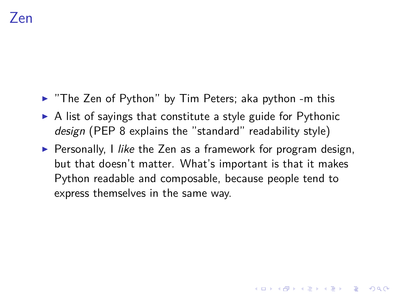- ▶ "The Zen of Python" by Tim Peters; aka python -m this
- ▶ A list of sayings that constitute a style guide for Pythonic *design* (PEP 8 explains the "standard" readability style)
- ▶ Personally, I *like* the Zen as a framework for program design, but that doesn't matter. What's important is that it makes Python readable and composable, because people tend to express themselves in the same way.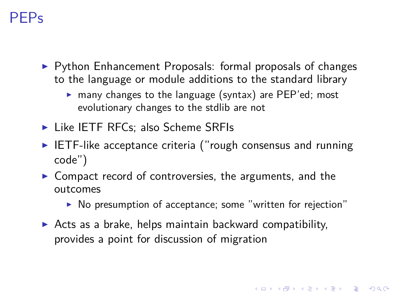# PEPs

- ▶ Python Enhancement Proposals: formal proposals of changes to the language or module additions to the standard library
	- ▶ many changes to the language (syntax) are PEP'ed; most evolutionary changes to the stdlib are not
- ▶ Like IETF RFCs; also Scheme SRFIs
- ▶ IETF-like acceptance criteria ("rough consensus and running code")
- ▶ Compact record of controversies, the arguments, and the outcomes
	- ▶ No presumption of acceptance; some "written for rejection"
- ▶ Acts as a brake, helps maintain backward compatibility, provides a point for discussion of migration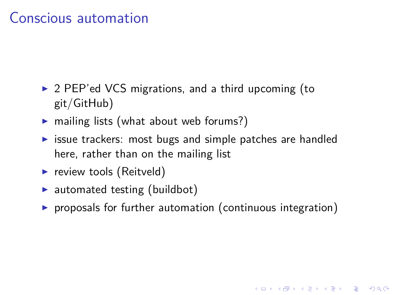# Conscious automation

- ▶ 2 PEP'ed VCS migrations, and a third upcoming (to git/GitHub)
- ▶ mailing lists (what about web forums?)
- ▶ issue trackers: most bugs and simple patches are handled here, rather than on the mailing list
- ▶ review tools (Reitveld)
- ▶ automated testing (buildbot)
- ▶ proposals for further automation (continuous integration)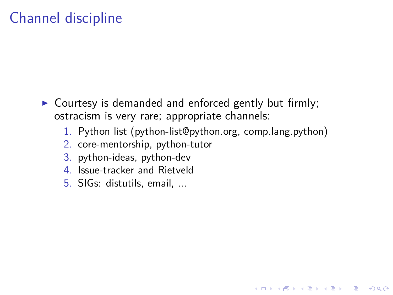# Channel discipline

- ▶ Courtesy is demanded and enforced gently but firmly; ostracism is very rare; appropriate channels:
	- 1. Python list (python-list@python.org, comp.lang.python)
	- 2. core-mentorship, python-tutor
	- 3. python-ideas, python-dev
	- 4. Issue-tracker and Rietveld
	- 5. SIGs: distutils, email, ...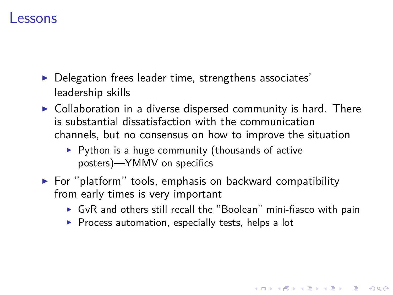#### Lessons

- ▶ Delegation frees leader time, strengthens associates' leadership skills
- ▶ Collaboration in a diverse dispersed community is hard. There is substantial dissatisfaction with the communication channels, but no consensus on how to improve the situation
	- $\blacktriangleright$  Python is a huge community (thousands of active posters)—YMMV on specifics
- ▶ For "platform" tools, emphasis on backward compatibility from early times is very important
	- $\triangleright$  GvR and others still recall the "Boolean" mini-fiasco with pain
	- ▶ Process automation, especially tests, helps a lot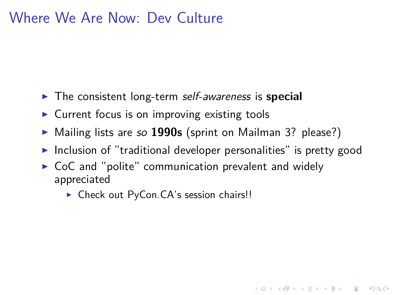### Where We Are Now: Dev Culture

- ▶ The consistent long-term *self-awareness* is **special**
- ▶ Current focus is on improving existing tools
- ▶ Mailing lists are *so* **1990s** (sprint on Mailman 3? please?)
- ▶ Inclusion of "traditional developer personalities" is pretty good
- ▶ CoC and "polite" communication prevalent and widely appreciated
	- ▶ Check out PyCon.CA's session chairs!!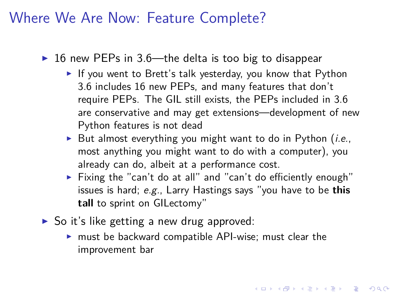#### Where We Are Now: Feature Complete?

- ▶ 16 new PEPs in 3.6—the delta is too big to disappear
	- ▶ If you went to Brett's talk yesterday, you know that Python 3.6 includes 16 new PEPs, and many features that don't require PEPs. The GIL still exists, the PEPs included in 3.6 are conservative and may get extensions—development of new Python features is not dead
	- ▶ But almost everything you might want to do in Python (*i.e.*, most anything you might want to do with a computer), you already can do, albeit at a performance cost.
	- ▶ Fixing the "can't do at all" and "can't do efficiently enough" issues is hard; *e.g.*, Larry Hastings says "you have to be **this tall** to sprint on GILectomy"
- ▶ So it's like getting a new drug approved:
	- ▶ must be backward compatible API-wise; must clear the improvement bar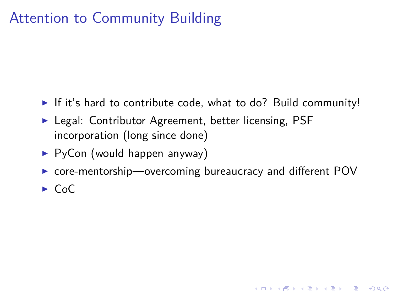# Attention to Community Building

- ▶ If it's hard to contribute code, what to do? Build community!
- ▶ Legal: Contributor Agreement, better licensing, PSF incorporation (long since done)
- ▶ PyCon (would happen anyway)
- ▶ core-mentorship—overcoming bureaucracy and different POV
- ▶ CoC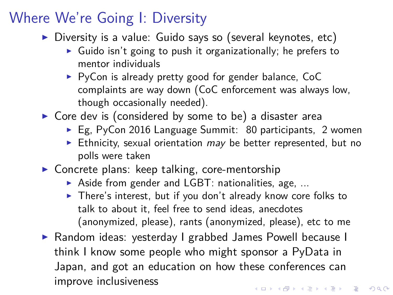#### Where We're Going I: Diversity

- ▶ Diversity is a value: Guido says so (several keynotes, etc)
	- ▶ Guido isn't going to push it organizationally; he prefers to mentor individuals
	- ▶ PyCon is already pretty good for gender balance, CoC complaints are way down (CoC enforcement was always low, though occasionally needed).
- ▶ Core dev is (considered by some to be) a disaster area
	- ▶ Eg, PyCon 2016 Language Summit: 80 participants, 2 women
	- ▶ Ethnicity, sexual orientation *may* be better represented, but no polls were taken
- ▶ Concrete plans: keep talking, core-mentorship
	- ▶ Aside from gender and LGBT: nationalities, age, ...
	- ▶ There's interest, but if you don't already know core folks to talk to about it, feel free to send ideas, anecdotes (anonymized, please), rants (anonymized, please), etc to me
- ▶ Random ideas: yesterday I grabbed James Powell because I think I know some people who might sponsor a PyData in Japan, and got an education on how these conferences can improve inclusiveness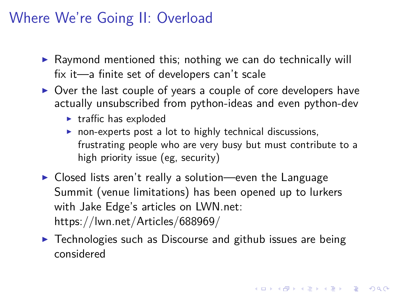# Where We're Going II: Overload

- ▶ Raymond mentioned this; nothing we can do technically will fix it—a finite set of developers can't scale
- ▶ Over the last couple of years a couple of core developers have actually unsubscribed from python-ideas and even python-dev
	- ▶ traffic has exploded
	- ▶ non-experts post a lot to highly technical discussions, frustrating people who are very busy but must contribute to a high priority issue (eg, security)
- ▶ Closed lists aren't really a solution—even the Language Summit (venue limitations) has been opened up to lurkers with Jake Edge's articles on LWN.net: https://lwn.net/Articles/688969/
- ▶ Technologies such as Discourse and github issues are being considered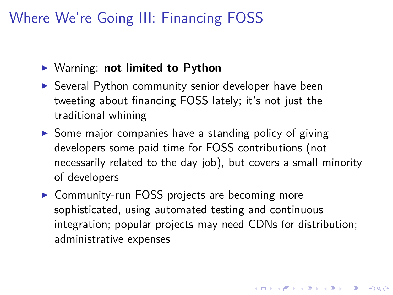# Where We're Going III: Financing FOSS

- ▶ Warning: **not limited to Python**
- ▶ Several Python community senior developer have been tweeting about financing FOSS lately; it's not just the traditional whining
- ▶ Some major companies have a standing policy of giving developers some paid time for FOSS contributions (not necessarily related to the day job), but covers a small minority of developers
- ▶ Community-run FOSS projects are becoming more sophisticated, using automated testing and continuous integration; popular projects may need CDNs for distribution; administrative expenses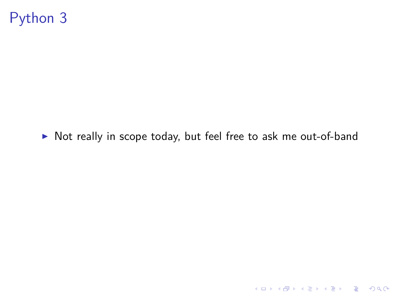Python 3

▶ Not really in scope today, but feel free to ask me out-of-band